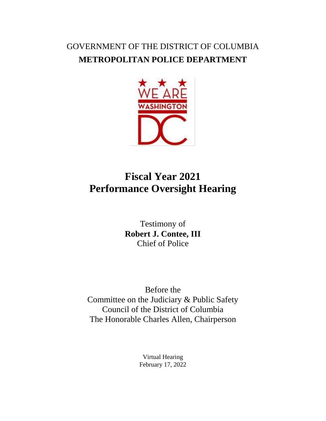## GOVERNMENT OF THE DISTRICT OF COLUMBIA **METROPOLITAN POLICE DEPARTMENT**



## **Fiscal Year 2021 Performance Oversight Hearing**

Testimony of **Robert J. Contee, III** Chief of Police

Before the Committee on the Judiciary & Public Safety Council of the District of Columbia The Honorable Charles Allen, Chairperson

> Virtual Hearing February 17, 2022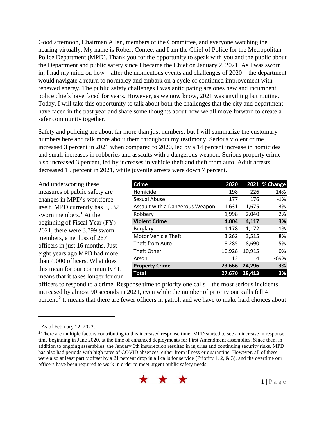Good afternoon, Chairman Allen, members of the Committee, and everyone watching the hearing virtually. My name is Robert Contee, and I am the Chief of Police for the Metropolitan Police Department (MPD). Thank you for the opportunity to speak with you and the public about the Department and public safety since I became the Chief on January 2, 2021. As I was sworn in, I had my mind on how – after the momentous events and challenges of 2020 – the department would navigate a return to normalcy and embark on a cycle of continued improvement with renewed energy. The public safety challenges I was anticipating are ones new and incumbent police chiefs have faced for years. However, as we now know, 2021 was anything but routine. Today, I will take this opportunity to talk about both the challenges that the city and department have faced in the past year and share some thoughts about how we all move forward to create a safer community together.

Safety and policing are about far more than just numbers, but I will summarize the customary numbers here and talk more about them throughout my testimony. Serious violent crime increased 3 percent in 2021 when compared to 2020, led by a 14 percent increase in homicides and small increases in robberies and assaults with a dangerous weapon. Serious property crime also increased 3 percent, led by increases in vehicle theft and theft from auto. Adult arrests decreased 15 percent in 2021, while juvenile arrests were down 7 percent.

And underscoring these measures of public safety are changes in MPD's workforce itself. MPD currently has 3,532 sworn members. $<sup>1</sup>$  At the</sup> beginning of Fiscal Year (FY) 2021, there were 3,799 sworn members, a net loss of 267 officers in just 16 months. Just eight years ago MPD had more than 4,000 officers. What does this mean for our community? It means that it takes longer for our

| <b>Crime</b>                    | 2020   |        | 2021 % Change |
|---------------------------------|--------|--------|---------------|
| Homicide                        | 198    | 226    | 14%           |
| Sexual Abuse                    | 177    | 176    | $-1%$         |
| Assault with a Dangerous Weapon | 1,631  | 1,675  | 3%            |
| Robbery                         | 1,998  | 2,040  | 2%            |
| <b>Violent Crime</b>            | 4,004  | 4,117  | 3%            |
| <b>Burglary</b>                 | 1,178  | 1,172  | $-1%$         |
| Motor Vehicle Theft             | 3,262  | 3,515  | 8%            |
| Theft from Auto                 | 8,285  | 8,690  | 5%            |
| Theft Other                     | 10,928 | 10,915 | 0%            |
| Arson                           | 13     | 4      | -69%          |
| <b>Property Crime</b>           | 23,666 | 24,296 | 3%            |
| <b>Total</b>                    | 27,670 | 28,413 | 3%            |

officers to respond to a crime. Response time to priority one calls – the most serious incidents – increased by almost 90 seconds in 2021, even while the number of priority one calls fell 4 percent.<sup>2</sup> It means that there are fewer officers in patrol, and we have to make hard choices about

 $\overline{a}$ 

<sup>&</sup>lt;sup>2</sup> There are multiple factors contributing to this increased response time. MPD started to see an increase in response time beginning in June 2020, at the time of enhanced deployments for First Amendment assemblies. Since then, in addition to ongoing assemblies, the January 6th insurrection resulted in injuries and continuing security risks. MPD has also had periods with high rates of COVID absences, either from illness or quarantine. However, all of these were also at least partly offset by a 21 percent drop in all calls for service (Priority 1, 2, & 3), and the overtime our officers have been required to work in order to meet urgent public safety needs.



 $<sup>1</sup>$  As of February 12, 2022.</sup>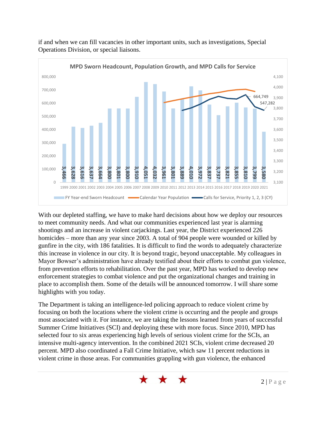

if and when we can fill vacancies in other important units, such as investigations, Special Operations Division, or special liaisons.

With our depleted staffing, we have to make hard decisions about how we deploy our resources to meet community needs. And what our communities experienced last year is alarming shootings and an increase in violent carjackings. Last year, the District experienced 226 homicides – more than any year since 2003. A total of 904 people were wounded or killed by gunfire in the city, with 186 fatalities. It is difficult to find the words to adequately characterize this increase in violence in our city. It is beyond tragic, beyond unacceptable. My colleagues in Mayor Bowser's administration have already testified about their efforts to combat gun violence, from prevention efforts to rehabilitation. Over the past year, MPD has worked to develop new enforcement strategies to combat violence and put the organizational changes and training in place to accomplish them. Some of the details will be announced tomorrow. I will share some highlights with you today. violent crime in those areas. For communities grappling with gun violence, the enhanced **3,466 3,628 3,616 3,637 3,664 3,800 3,801 3,800 3,910 4,051 4,032 3,961 3,801 3,889 4,010 3,972 3,837 3,737 3,821 3,855 3,810 3,799 3,580** 

The Department is taking an intelligence-led policing approach to reduce violent crime by focusing on both the locations where the violent crime is occurring and the people and groups most associated with it. For instance, we are taking the lessons learned from years of successful Summer Crime Initiatives (SCI) and deploying these with more focus. Since 2010, MPD has selected four to six areas experiencing high levels of serious violent crime for the SCIs, an intensive multi-agency intervention. In the combined 2021 SCIs, violent crime decreased 20 percent. MPD also coordinated a Fall Crime Initiative, which saw 11 percent reductions in

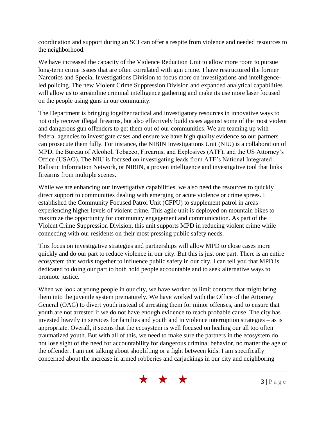coordination and support during an SCI can offer a respite from violence and needed resources to the neighborhood.

We have increased the capacity of the Violence Reduction Unit to allow more room to pursue long-term crime issues that are often correlated with gun crime. I have restructured the former Narcotics and Special Investigations Division to focus more on investigations and intelligenceled policing. The new Violent Crime Suppression Division and expanded analytical capabilities will allow us to streamline criminal intelligence gathering and make its use more laser focused on the people using guns in our community.

The Department is bringing together tactical and investigatory resources in innovative ways to not only recover illegal firearms, but also effectively build cases against some of the most violent and dangerous gun offenders to get them out of our communities. We are teaming up with federal agencies to investigate cases and ensure we have high quality evidence so our partners can prosecute them fully. For instance, the NIBIN Investigations Unit (NIU) is a collaboration of MPD, the Bureau of Alcohol, Tobacco, Firearms, and Explosives (ATF), and the US Attorney's Office (USAO). The NIU is focused on investigating leads from ATF's National Integrated Ballistic Information Network, or NIBIN, a proven intelligence and investigative tool that links firearms from multiple scenes.

While we are enhancing our investigative capabilities, we also need the resources to quickly direct support to communities dealing with emerging or acute violence or crime sprees. I established the Community Focused Patrol Unit (CFPU) to supplement patrol in areas experiencing higher levels of violent crime. This agile unit is deployed on mountain bikes to maximize the opportunity for community engagement and communication. As part of the Violent Crime Suppression Division, this unit supports MPD in reducing violent crime while connecting with our residents on their most pressing public safety needs.

This focus on investigative strategies and partnerships will allow MPD to close cases more quickly and do our part to reduce violence in our city. But this is just one part. There is an entire ecosystem that works together to influence public safety in our city. I can tell you that MPD is dedicated to doing our part to both hold people accountable and to seek alternative ways to promote justice.

When we look at young people in our city, we have worked to limit contacts that might bring them into the juvenile system prematurely. We have worked with the Office of the Attorney General (OAG) to divert youth instead of arresting them for minor offenses, and to ensure that youth are not arrested if we do not have enough evidence to reach probable cause. The city has invested heavily in services for families and youth and in violence interruption strategies – as is appropriate. Overall, it seems that the ecosystem is well focused on healing our all too often traumatized youth. But with all of this, we need to make sure the partners in the ecosystem do not lose sight of the need for accountability for dangerous criminal behavior, no matter the age of the offender. I am not talking about shoplifting or a fight between kids. I am specifically concerned about the increase in armed robberies and carjackings in our city and neighboring

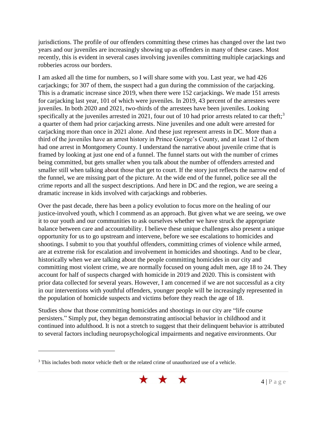jurisdictions. The profile of our offenders committing these crimes has changed over the last two years and our juveniles are increasingly showing up as offenders in many of these cases. Most recently, this is evident in several cases involving juveniles committing multiple carjackings and robberies across our borders.

I am asked all the time for numbers, so I will share some with you. Last year, we had 426 carjackings; for 307 of them, the suspect had a gun during the commission of the carjacking. This is a dramatic increase since 2019, when there were 152 carjackings. We made 151 arrests for carjacking last year, 101 of which were juveniles. In 2019, 43 percent of the arrestees were juveniles. In both 2020 and 2021, two-thirds of the arrestees have been juveniles. Looking specifically at the juveniles arrested in 2021, four out of 10 had prior arrests related to car theft;<sup>3</sup> a quarter of them had prior carjacking arrests. Nine juveniles and one adult were arrested for carjacking more than once in 2021 alone. And these just represent arrests in DC. More than a third of the juveniles have an arrest history in Prince George's County, and at least 12 of them had one arrest in Montgomery County. I understand the narrative about juvenile crime that is framed by looking at just one end of a funnel. The funnel starts out with the number of crimes being committed, but gets smaller when you talk about the number of offenders arrested and smaller still when talking about those that get to court. If the story just reflects the narrow end of the funnel, we are missing part of the picture. At the wide end of the funnel, police see all the crime reports and all the suspect descriptions. And here in DC and the region, we are seeing a dramatic increase in kids involved with carjackings and robberies.

Over the past decade, there has been a policy evolution to focus more on the healing of our justice-involved youth, which I commend as an approach. But given what we are seeing, we owe it to our youth and our communities to ask ourselves whether we have struck the appropriate balance between care and accountability. I believe these unique challenges also present a unique opportunity for us to go upstream and intervene, before we see escalations to homicides and shootings. I submit to you that youthful offenders, committing crimes of violence while armed, are at extreme risk for escalation and involvement in homicides and shootings. And to be clear, historically when we are talking about the people committing homicides in our city and committing most violent crime, we are normally focused on young adult men, age 18 to 24. They account for half of suspects charged with homicide in 2019 and 2020. This is consistent with prior data collected for several years. However, I am concerned if we are not successful as a city in our interventions with youthful offenders, younger people will be increasingly represented in the population of homicide suspects and victims before they reach the age of 18.

Studies show that those committing homicides and shootings in our city are "life course persisters." Simply put, they began demonstrating antisocial behavior in childhood and it continued into adulthood. It is not a stretch to suggest that their delinquent behavior is attributed to several factors including neuropsychological impairments and negative environments. Our

 $\overline{a}$ 



<sup>&</sup>lt;sup>3</sup> This includes both motor vehicle theft or the related crime of unauthorized use of a vehicle.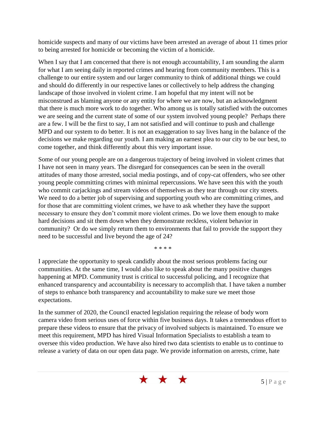homicide suspects and many of our victims have been arrested an average of about 11 times prior to being arrested for homicide or becoming the victim of a homicide.

When I say that I am concerned that there is not enough accountability, I am sounding the alarm for what I am seeing daily in reported crimes and hearing from community members. This is a challenge to our entire system and our larger community to think of additional things we could and should do differently in our respective lanes or collectively to help address the changing landscape of those involved in violent crime. I am hopeful that my intent will not be misconstrued as blaming anyone or any entity for where we are now, but an acknowledgment that there is much more work to do together. Who among us is totally satisfied with the outcomes we are seeing and the current state of some of our system involved young people? Perhaps there are a few. I will be the first to say, I am not satisfied and will continue to push and challenge MPD and our system to do better. It is not an exaggeration to say lives hang in the balance of the decisions we make regarding our youth. I am making an earnest plea to our city to be our best, to come together, and think differently about this very important issue.

Some of our young people are on a dangerous trajectory of being involved in violent crimes that I have not seen in many years. The disregard for consequences can be seen in the overall attitudes of many those arrested, social media postings, and of copy-cat offenders, who see other young people committing crimes with minimal repercussions. We have seen this with the youth who commit carjackings and stream videos of themselves as they tear through our city streets. We need to do a better job of supervising and supporting youth who are committing crimes, and for those that are committing violent crimes, we have to ask whether they have the support necessary to ensure they don't commit more violent crimes. Do we love them enough to make hard decisions and sit them down when they demonstrate reckless, violent behavior in community? Or do we simply return them to environments that fail to provide the support they need to be successful and live beyond the age of 24?

\* \* \* \*

I appreciate the opportunity to speak candidly about the most serious problems facing our communities. At the same time, I would also like to speak about the many positive changes happening at MPD. Community trust is critical to successful policing, and I recognize that enhanced transparency and accountability is necessary to accomplish that. I have taken a number of steps to enhance both transparency and accountability to make sure we meet those expectations.

In the summer of 2020, the Council enacted legislation requiring the release of body worn camera video from serious uses of force within five business days. It takes a tremendous effort to prepare these videos to ensure that the privacy of involved subjects is maintained. To ensure we meet this requirement, MPD has hired Visual Information Specialists to establish a team to oversee this video production. We have also hired two data scientists to enable us to continue to release a variety of data on our open data page. We provide information on arrests, crime, hate

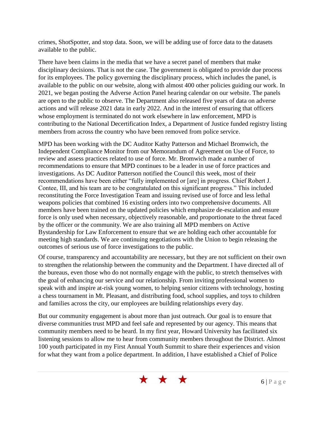crimes, ShotSpotter, and stop data. Soon, we will be adding use of force data to the datasets available to the public.

There have been claims in the media that we have a secret panel of members that make disciplinary decisions. That is not the case. The government is obligated to provide due process for its employees. The policy governing the disciplinary process, which includes the panel, is available to the public on our website, along with almost 400 other policies guiding our work. In 2021, we began posting the Adverse Action Panel hearing calendar on our website. The panels are open to the public to observe. The Department also released five years of data on adverse actions and will release 2021 data in early 2022. And in the interest of ensuring that officers whose employment is terminated do not work elsewhere in law enforcement, MPD is contributing to the National Decertification Index, a Department of Justice funded registry listing members from across the country who have been removed from police service.

MPD has been working with the DC Auditor Kathy Patterson and Michael Bromwich, the Independent Compliance Monitor from our Memorandum of Agreement on Use of Force, to review and assess practices related to use of force. Mr. Bromwich made a number of recommendations to ensure that MPD continues to be a leader in use of force practices and investigations. As DC Auditor Patterson notified the Council this week, most of their recommendations have been either "fully implemented or [are] in progress. Chief Robert J. Contee, III, and his team are to be congratulated on this significant progress." This included reconstituting the Force Investigation Team and issuing revised use of force and less lethal weapons policies that combined 16 existing orders into two comprehensive documents. All members have been trained on the updated policies which emphasize de-escalation and ensure force is only used when necessary, objectively reasonable, and proportionate to the threat faced by the officer or the community. We are also training all MPD members on Active Bystandership for Law Enforcement to ensure that we are holding each other accountable for meeting high standards. We are continuing negotiations with the Union to begin releasing the outcomes of serious use of force investigations to the public.

Of course, transparency and accountability are necessary, but they are not sufficient on their own to strengthen the relationship between the community and the Department. I have directed all of the bureaus, even those who do not normally engage with the public, to stretch themselves with the goal of enhancing our service and our relationship. From inviting professional women to speak with and inspire at-risk young women, to helping senior citizens with technology, hosting a chess tournament in Mt. Pleasant, and distributing food, school supplies, and toys to children and families across the city, our employees are building relationships every day.

But our community engagement is about more than just outreach. Our goal is to ensure that diverse communities trust MPD and feel safe and represented by our agency. This means that community members need to be heard. In my first year, Howard University has facilitated six listening sessions to allow me to hear from community members throughout the District. Almost 100 youth participated in my First Annual Youth Summit to share their experiences and vision for what they want from a police department. In addition, I have established a Chief of Police

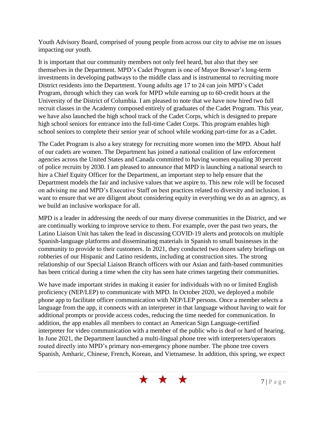Youth Advisory Board, comprised of young people from across our city to advise me on issues impacting our youth.

It is important that our community members not only feel heard, but also that they see themselves in the Department. MPD's Cadet Program is one of Mayor Bowser's long-term investments in developing pathways to the middle class and is instrumental to recruiting more District residents into the Department. Young adults age 17 to 24 can join MPD's Cadet Program, through which they can work for MPD while earning up to 60-credit hours at the University of the District of Columbia. I am pleased to note that we have now hired two full recruit classes in the Academy composed entirely of graduates of the Cadet Program. This year, we have also launched the high school track of the Cadet Corps, which is designed to prepare high school seniors for entrance into the full-time Cadet Corps. This program enables high school seniors to complete their senior year of school while working part-time for as a Cadet.

The Cadet Program is also a key strategy for recruiting more women into the MPD. About half of our cadets are women. The Department has joined a national coalition of law enforcement agencies across the United States and Canada committed to having women equaling 30 percent of police recruits by 2030. I am pleased to announce that MPD is launching a national search to hire a Chief Equity Officer for the Department, an important step to help ensure that the Department models the fair and inclusive values that we aspire to. This new role will be focused on advising me and MPD's Executive Staff on best practices related to diversity and inclusion. I want to ensure that we are diligent about considering equity in everything we do as an agency, as we build an inclusive workspace for all.

MPD is a leader in addressing the needs of our many diverse communities in the District, and we are continually working to improve service to them. For example, over the past two years, the Latino Liaison Unit has taken the lead in discussing COVID-19 alerts and protocols on multiple Spanish-language platforms and disseminating materials in Spanish to small businesses in the community to provide to their customers. In 2021, they conducted two dozen safety briefings on robberies of our Hispanic and Latino residents, including at construction sites. The strong relationship of our Special Liaison Branch officers with our Asian and faith-based communities has been critical during a time when the city has seen hate crimes targeting their communities.

We have made important strides in making it easier for individuals with no or limited English proficiency (NEP/LEP) to communicate with MPD. In October 2020, we deployed a mobile phone app to facilitate officer communication with NEP/LEP persons. Once a member selects a language from the app, it connects with an interpreter in that language without having to wait for additional prompts or provide access codes, reducing the time needed for communication. In addition, the app enables all members to contact an American Sign Language-certified interpreter for video communication with a member of the public who is deaf or hard of hearing. In June 2021, the Department launched a multi-lingual phone tree with interpreters/operators routed directly into MPD's primary non-emergency phone number. The phone tree covers Spanish, Amharic, Chinese, French, Korean, and Vietnamese. In addition, this spring, we expect

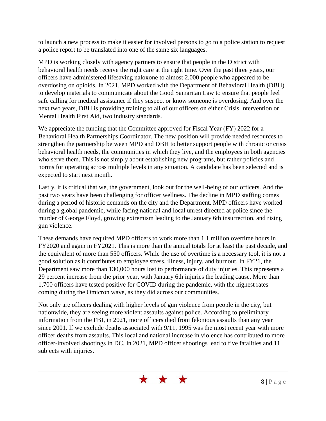to launch a new process to make it easier for involved persons to go to a police station to request a police report to be translated into one of the same six languages.

MPD is working closely with agency partners to ensure that people in the District with behavioral health needs receive the right care at the right time. Over the past three years, our officers have administered lifesaving naloxone to almost 2,000 people who appeared to be overdosing on opioids. In 2021, MPD worked with the Department of Behavioral Health (DBH) to develop materials to communicate about the Good Samaritan Law to ensure that people feel safe calling for medical assistance if they suspect or know someone is overdosing. And over the next two years, DBH is providing training to all of our officers on either Crisis Intervention or Mental Health First Aid, two industry standards.

We appreciate the funding that the Committee approved for Fiscal Year (FY) 2022 for a Behavioral Health Partnerships Coordinator. The new position will provide needed resources to strengthen the partnership between MPD and DBH to better support people with chronic or crisis behavioral health needs, the communities in which they live, and the employees in both agencies who serve them. This is not simply about establishing new programs, but rather policies and norms for operating across multiple levels in any situation. A candidate has been selected and is expected to start next month.

Lastly, it is critical that we, the government, look out for the well-being of our officers. And the past two years have been challenging for officer wellness. The decline in MPD staffing comes during a period of historic demands on the city and the Department. MPD officers have worked during a global pandemic, while facing national and local unrest directed at police since the murder of George Floyd, growing extremism leading to the January 6th insurrection, and rising gun violence.

These demands have required MPD officers to work more than 1.1 million overtime hours in FY2020 and again in FY2021. This is more than the annual totals for at least the past decade, and the equivalent of more than 550 officers. While the use of overtime is a necessary tool, it is not a good solution as it contributes to employee stress, illness, injury, and burnout. In FY21, the Department saw more than 130,000 hours lost to performance of duty injuries. This represents a 29 percent increase from the prior year, with January 6th injuries the leading cause. More than 1,700 officers have tested positive for COVID during the pandemic, with the highest rates coming during the Omicron wave, as they did across our communities.

Not only are officers dealing with higher levels of gun violence from people in the city, but nationwide, they are seeing more violent assaults against police. According to preliminary information from the FBI, in 2021, more officers died from felonious assaults than any year since 2001. If we exclude deaths associated with 9/11, 1995 was the most recent year with more officer deaths from assaults. This local and national increase in violence has contributed to more officer-involved shootings in DC. In 2021, MPD officer shootings lead to five fatalities and 11 subjects with injuries.

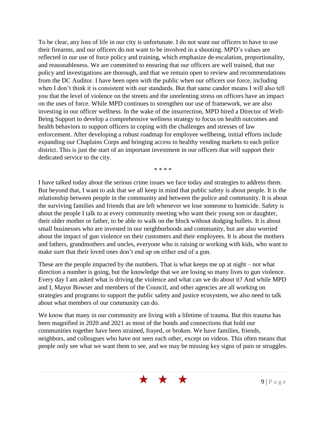To be clear, any loss of life in our city is unfortunate. I do not want our officers to have to use their firearms, and our officers do not want to be involved in a shooting. MPD's values are reflected in our use of force policy and training, which emphasize de-escalation, proportionality, and reasonableness. We are committed to ensuring that our officers are well trained, that our policy and investigations are thorough, and that we remain open to review and recommendations from the DC Auditor. I have been open with the public when our officers use force, including when I don't think it is consistent with our standards. But that same candor means I will also tell you that the level of violence on the streets and the unrelenting stress on officers have an impact on the uses of force. While MPD continues to strengthen our use of framework, we are also investing in our officer wellness. In the wake of the insurrection, MPD hired a Director of Well-Being Support to develop a comprehensive wellness strategy to focus on health outcomes and health behaviors to support officers in coping with the challenges and stresses of law enforcement. After developing a robust roadmap for employee wellbeing, initial efforts include expanding our Chaplains Corps and bringing access to healthy vending markets to each police district. This is just the start of an important investment in our officers that will support their dedicated service to the city.

\* \* \* \*

I have talked today about the serious crime issues we face today and strategies to address them. But beyond that, I want to ask that we all keep in mind that public safety is about people. It is the relationship between people in the community and between the police and community. It is about the surviving families and friends that are left whenever we lose someone to homicide. Safety is about the people I talk to at every community meeting who want their young son or daughter, their older mother or father, to be able to walk on the block without dodging bullets. It is about small businesses who are invested in our neighborhoods and community, but are also worried about the impact of gun violence on their customers and their employees. It is about the mothers and fathers, grandmothers and uncles, everyone who is raising or working with kids, who want to make sure that their loved ones don't end up on either end of a gun.

These are the people impacted by the numbers. That is what keeps me up at night – not what direction a number is going, but the knowledge that we are losing so many lives to gun violence. Every day I am asked what is driving the violence and what can we do about it? And while MPD and I, Mayor Bowser and members of the Council, and other agencies are all working on strategies and programs to support the public safety and justice ecosystem, we also need to talk about what members of our community can do.

We know that many in our community are living with a lifetime of trauma. But this trauma has been magnified in 2020 and 2021 as most of the bonds and connections that hold our communities together have been strained, frayed, or broken. We have families, friends, neighbors, and colleagues who have not seen each other, except on videos. This often means that people only see what we want them to see, and we may be missing key signs of pain or struggles.